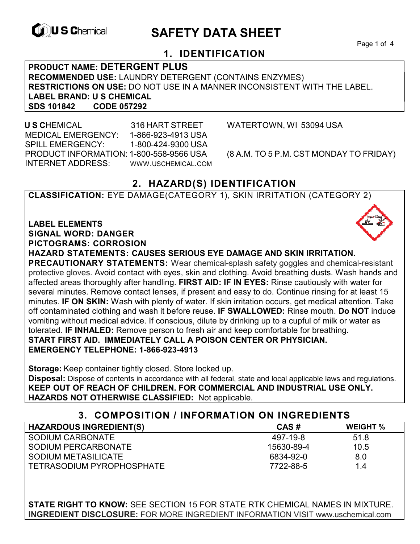

# **EXAGREM** SAFETY DATA SHEET

Page 1 of 4

## **1. IDENTIFICATION**

**PRODUCT NAME: DETERGENT PLUS RECOMMENDED USE:** LAUNDRY DETERGENT (CONTAINS ENZYMES) **RESTRICTIONS ON USE:** DO NOT USE IN A MANNER INCONSISTENT WITH THE LABEL. **LABEL BRAND: U S CHEMICAL SDS 101842** 

 **U S C**HEMICAL 316 HART STREET WATERTOWN, WI 53094 USA MEDICAL EMERGENCY: 1-866-923-4913 USA SPILL EMERGENCY: 1-800-424-9300 USA PRODUCT INFORMATION: 1-800-558-9566 USA (8 A.M. TO 5 P.M. CST MONDAY TO FRIDAY) INTERNET ADDRESS: WWW.USCHEMICAL.COM

## **2. HAZARD(S) IDENTIFICATION**

**CLASSIFICATION:** EYE DAMAGE(CATEGORY 1), SKIN IRRITATION (CATEGORY 2)

**LABEL ELEMENTS SIGNAL WORD: DANGER PICTOGRAMS: CORROSION**

**HAZARD STATEMENTS: CAUSES SERIOUS EYE DAMAGE AND SKIN IRRITATION.** 

**PRECAUTIONARY STATEMENTS:** Wear chemical-splash safety goggles and chemical-resistant protective gloves. Avoid contact with eyes, skin and clothing. Avoid breathing dusts. Wash hands and affected areas thoroughly after handling. **FIRST AID: IF IN EYES:** Rinse cautiously with water for several minutes. Remove contact lenses, if present and easy to do. Continue rinsing for at least 15 minutes. **IF ON SKIN:** Wash with plenty of water. If skin irritation occurs, get medical attention. Take off contaminated clothing and wash it before reuse. **IF SWALLOWED:** Rinse mouth. **Do NOT** induce vomiting without medical advice. If conscious, dilute by drinking up to a cupful of milk or water as tolerated. **IF INHALED:** Remove person to fresh air and keep comfortable for breathing. **START FIRST AID. IMMEDIATELY CALL A POISON CENTER OR PHYSICIAN. EMERGENCY TELEPHONE: 1-866-923-4913**

**Storage:** Keep container tightly closed. Store locked up.

**Disposal:** Dispose of contents in accordance with all federal, state and local applicable laws and regulations. **KEEP OUT OF REACH OF CHILDREN. FOR COMMERCIAL AND INDUSTRIAL USE ONLY. HAZARDS NOT OTHERWISE CLASSIFIED:** Not applicable.

#### **3. COMPOSITION / INFORMATION ON INGREDIENTS**

| <b>HAZARDOUS INGREDIENT(S)</b> | CAS#       | <b>WEIGHT</b> % |
|--------------------------------|------------|-----------------|
| SODIUM CARBONATE               | 497-19-8   | 51.8            |
| SODIUM PERCARBONATE            | 15630-89-4 | 10.5            |
| SODIUM METASILICATE            | 6834-92-0  | 8.0             |
| TETRASODIUM PYROPHOSPHATE      | 7722-88-5  | 1.4             |

**STATE RIGHT TO KNOW:** SEE SECTION 15 FOR STATE RTK CHEMICAL NAMES IN MIXTURE. **INGREDIENT DISCLOSURE:** FOR MORE INGREDIENT INFORMATION VISIT www.uschemical.com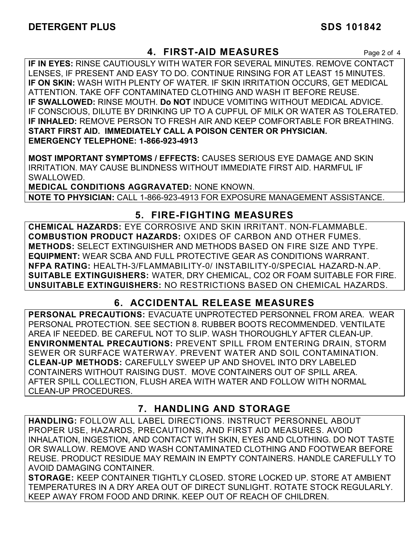## **4. FIRST-AID MEASURES** Page 2 of 4

**IF IN EYES:** RINSE CAUTIOUSLY WITH WATER FOR SEVERAL MINUTES. REMOVE CONTACT LENSES, IF PRESENT AND EASY TO DO. CONTINUE RINSING FOR AT LEAST 15 MINUTES. **IF ON SKIN:** WASH WITH PLENTY OF WATER. IF SKIN IRRITATION OCCURS, GET MEDICAL ATTENTION. TAKE OFF CONTAMINATED CLOTHING AND WASH IT BEFORE REUSE. **IF SWALLOWED:** RINSE MOUTH. **Do NOT** INDUCE VOMITING WITHOUT MEDICAL ADVICE. IF CONSCIOUS, DILUTE BY DRINKING UP TO A CUPFUL OF MILK OR WATER AS TOLERATED. **IF INHALED:** REMOVE PERSON TO FRESH AIR AND KEEP COMFORTABLE FOR BREATHING. **START FIRST AID. IMMEDIATELY CALL A POISON CENTER OR PHYSICIAN. EMERGENCY TELEPHONE: 1-866-923-4913**

**MOST IMPORTANT SYMPTOMS / EFFECTS:** CAUSES SERIOUS EYE DAMAGE AND SKIN IRRITATION. MAY CAUSE BLINDNESS WITHOUT IMMEDIATE FIRST AID. HARMFUL IF SWALLOWED.

**MEDICAL CONDITIONS AGGRAVATED:** NONE KNOWN. **NOTE TO PHYSICIAN:** CALL 1-866-923-4913 FOR EXPOSURE MANAGEMENT ASSISTANCE.

## **5. FIRE-FIGHTING MEASURES**

**CHEMICAL HAZARDS:** EYE CORROSIVE AND SKIN IRRITANT. NON-FLAMMABLE. **COMBUSTION PRODUCT HAZARDS:** OXIDES OF CARBON AND OTHER FUMES. **METHODS:** SELECT EXTINGUISHER AND METHODS BASED ON FIRE SIZE AND TYPE. **EQUIPMENT:** WEAR SCBA AND FULL PROTECTIVE GEAR AS CONDITIONS WARRANT. **NFPA RATING:** HEALTH-3/FLAMMABILITY-0/ INSTABILITY-0/SPECIAL HAZARD-N.AP. **SUITABLE EXTINGUISHERS:** WATER, DRY CHEMICAL, CO2 OR FOAM SUITABLE FOR FIRE. **UNSUITABLE EXTINGUISHERS:** NO RESTRICTIONS BASED ON CHEMICAL HAZARDS.

## **6. ACCIDENTAL RELEASE MEASURES**

**PERSONAL PRECAUTIONS:** EVACUATE UNPROTECTED PERSONNEL FROM AREA. WEAR PERSONAL PROTECTION. SEE SECTION 8. RUBBER BOOTS RECOMMENDED. VENTILATE AREA IF NEEDED. BE CAREFUL NOT TO SLIP. WASH THOROUGHLY AFTER CLEAN-UP. **ENVIRONMENTAL PRECAUTIONS:** PREVENT SPILL FROM ENTERING DRAIN, STORM SEWER OR SURFACE WATERWAY. PREVENT WATER AND SOIL CONTAMINATION. **CLEAN-UP METHODS:** CAREFULLY SWEEP UP AND SHOVEL INTO DRY LABELED CONTAINERS WITHOUT RAISING DUST. MOVE CONTAINERS OUT OF SPILL AREA. AFTER SPILL COLLECTION, FLUSH AREA WITH WATER AND FOLLOW WITH NORMAL CLEAN-UP PROCEDURES.

## **7. HANDLING AND STORAGE**

**HANDLING:** FOLLOW ALL LABEL DIRECTIONS. INSTRUCT PERSONNEL ABOUT PROPER USE, HAZARDS, PRECAUTIONS, AND FIRST AID MEASURES. AVOID INHALATION, INGESTION, AND CONTACT WITH SKIN, EYES AND CLOTHING. DO NOT TASTE OR SWALLOW. REMOVE AND WASH CONTAMINATED CLOTHING AND FOOTWEAR BEFORE REUSE. PRODUCT RESIDUE MAY REMAIN IN EMPTY CONTAINERS. HANDLE CAREFULLY TO AVOID DAMAGING CONTAINER.

**STORAGE:** KEEP CONTAINER TIGHTLY CLOSED. STORE LOCKED UP. STORE AT AMBIENT TEMPERATURES IN A DRY AREA OUT OF DIRECT SUNLIGHT. ROTATE STOCK REGULARLY. KEEP AWAY FROM FOOD AND DRINK. KEEP OUT OF REACH OF CHILDREN.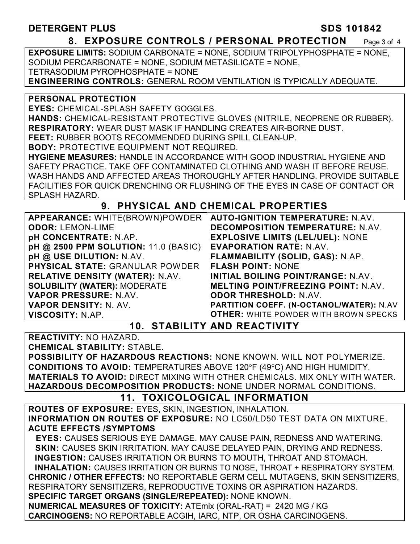### **DETERGENT PLUS** SDS 101842

#### **8. EXPOSURE CONTROLS / PERSONAL PROTECTION** Page 3 of 4

**EXPOSURE LIMITS:** SODIUM CARBONATE = NONE, SODIUM TRIPOLYPHOSPHATE = NONE, SODIUM PERCARBONATE = NONE, SODIUM METASILICATE = NONE, TETRASODIUM PYROPHOSPHATE = NONE **ENGINEERING CONTROLS:** GENERAL ROOM VENTILATION IS TYPICALLY ADEQUATE.

**PERSONAL PROTECTION** 

**EYES:** CHEMICAL-SPLASH SAFETY GOGGLES.

**HANDS:** CHEMICAL-RESISTANT PROTECTIVE GLOVES (NITRILE, NEOPRENE OR RUBBER). **RESPIRATORY:** WEAR DUST MASK IF HANDLING CREATES AIR-BORNE DUST.

**FEET:** RUBBER BOOTS RECOMMENDED DURING SPILL CLEAN-UP.

**BODY:** PROTECTIVE EQUIPMENT NOT REQUIRED.

**HYGIENE MEASURES:** HANDLE IN ACCORDANCE WITH GOOD INDUSTRIAL HYGIENE AND SAFETY PRACTICE. TAKE OFF CONTAMINATED CLOTHING AND WASH IT BEFORE REUSE. WASH HANDS AND AFFECTED AREAS THOROUGHLY AFTER HANDLING. PROVIDE SUITABLE FACILITIES FOR QUICK DRENCHING OR FLUSHING OF THE EYES IN CASE OF CONTACT OR SPLASH HAZARD.

#### **9. PHYSICAL AND CHEMICAL PROPERTIES**

| APPEARANCE: WHITE(BROWN)POWDER         | <b>AUTO-IGNITION TEMPERATURE: N.AV.</b>      |
|----------------------------------------|----------------------------------------------|
| <b>ODOR: LEMON-LIME</b>                | <b>DECOMPOSITION TEMPERATURE: N.AV.</b>      |
| pH CONCENTRATE: N.AP.                  | <b>EXPLOSIVE LIMITS (LEL/UEL): NONE</b>      |
| pH @ 2500 PPM SOLUTION: 11.0 (BASIC)   | <b>EVAPORATION RATE: N.AV.</b>               |
| pH @ USE DILUTION: N.AV.               | FLAMMABILITY (SOLID, GAS): N.AP.             |
| <b>PHYSICAL STATE: GRANULAR POWDER</b> | <b>FLASH POINT: NONE</b>                     |
| <b>RELATIVE DENSITY (WATER): N.AV.</b> | INITIAL BOILING POINT/RANGE: N.AV.           |
| <b>SOLUBILITY (WATER): MODERATE</b>    | <b>MELTING POINT/FREEZING POINT: N.AV.</b>   |
| VAPOR PRESSURE: N.AV.                  | <b>ODOR THRESHOLD: N.AV.</b>                 |
| VAPOR DENSITY: N. AV.                  | PARTITION COEFF. (N-OCTANOL/WATER): N.AV     |
| VISCOSITY: N.AP.                       | <b>OTHER: WHITE POWDER WITH BROWN SPECKS</b> |

**10. STABILITY AND REACTIVITY** 

**REACTIVITY:** NO HAZARD.

**CHEMICAL STABILITY:** STABLE.

**POSSIBILITY OF HAZARDOUS REACTIONS:** NONE KNOWN. WILL NOT POLYMERIZE. **CONDITIONS TO AVOID: TEMPERATURES ABOVE 120°F (49°C) AND HIGH HUMIDITY. MATERIALS TO AVOID:** DIRECT MIXING WITH OTHER CHEMICALS. MIX ONLY WITH WATER. **HAZARDOUS DECOMPOSITION PRODUCTS:** NONE UNDER NORMAL CONDITIONS.

### **11. TOXICOLOGICAL INFORMATION**

**ROUTES OF EXPOSURE:** EYES, SKIN, INGESTION, INHALATION. **INFORMATION ON ROUTES OF EXPOSURE:** NO LC50/LD50 TEST DATA ON MIXTURE. **ACUTE EFFECTS /SYMPTOMS**

 **EYES:** CAUSES SERIOUS EYE DAMAGE. MAY CAUSE PAIN, REDNESS AND WATERING. **SKIN:** CAUSES SKIN IRRITATION. MAY CAUSE DELAYED PAIN, DRYING AND REDNESS. **INGESTION:** CAUSES IRRITATION OR BURNS TO MOUTH, THROAT AND STOMACH. **INHALATION:** CAUSES IRRITATION OR BURNS TO NOSE, THROAT + RESPIRATORY SYSTEM. **CHRONIC / OTHER EFFECTS:** NO REPORTABLE GERM CELL MUTAGENS, SKIN SENSITIZERS, RESPIRATORY SENSITIZERS, REPRODUCTIVE TOXINS OR ASPIRATION HAZARDS. **SPECIFIC TARGET ORGANS (SINGLE/REPEATED):** NONE KNOWN. **NUMERICAL MEASURES OF TOXICITY:** ATEmix (ORAL-RAT) = 2420 MG / KG

**CARCINOGENS:** NO REPORTABLE ACGIH, IARC, NTP, OR OSHA CARCINOGENS.